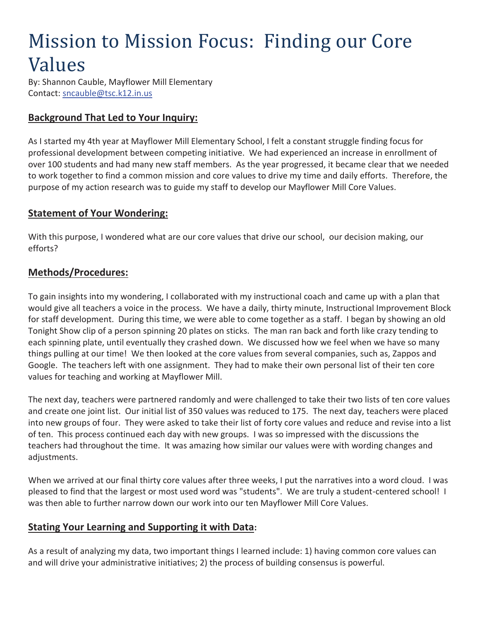# Mission to Mission Focus: Finding our Core Values

By: Shannon Cauble, Mayflower Mill Elementary Contact: sncauble@tsc.k12.in.us

# **Background That Led to Your Inquiry:**

As I started my 4th year at Mayflower Mill Elementary School, I felt a constant struggle finding focus for professional development between competing initiative. We had experienced an increase in enrollment of over 100 students and had many new staff members. As the year progressed, it became clear that we needed to work together to find a common mission and core values to drive my time and daily efforts. Therefore, the purpose of my action research was to guide my staff to develop our Mayflower Mill Core Values.

## **Statement of Your Wondering:**

With this purpose, I wondered what are our core values that drive our school, our decision making, our efforts?

## **Methods/Procedures:**

To gain insights into my wondering, I collaborated with my instructional coach and came up with a plan that would give all teachers a voice in the process. We have a daily, thirty minute, Instructional Improvement Block for staff development. During this time, we were able to come together as a staff. I began by showing an old Tonight Show clip of a person spinning 20 plates on sticks. The man ran back and forth like crazy tending to each spinning plate, until eventually they crashed down. We discussed how we feel when we have so many things pulling at our time! We then looked at the core values from several companies, such as, Zappos and Google. The teachers left with one assignment. They had to make their own personal list of their ten core values for teaching and working at Mayflower Mill.

The next day, teachers were partnered randomly and were challenged to take their two lists of ten core values and create one joint list. Our initial list of 350 values was reduced to 175. The next day, teachers were placed into new groups of four. They were asked to take their list of forty core values and reduce and revise into a list of ten. This process continued each day with new groups. I was so impressed with the discussions the teachers had throughout the time. It was amazing how similar our values were with wording changes and adjustments.

When we arrived at our final thirty core values after three weeks, I put the narratives into a word cloud. I was pleased to find that the largest or most used word was "students". We are truly a student-centered school! I was then able to further narrow down our work into our ten Mayflower Mill Core Values.

## **Stating Your Learning and Supporting it with Data:**

As a result of analyzing my data, two important things I learned include: 1) having common core values can and will drive your administrative initiatives; 2) the process of building consensus is powerful.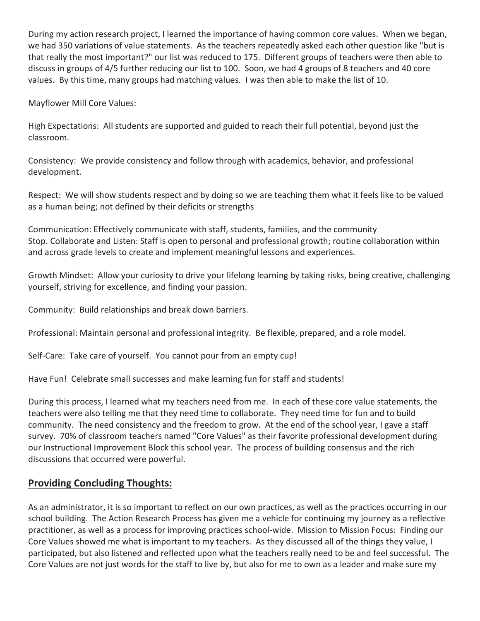During my action research project, I learned the importance of having common core values. When we began, we had 350 variations of value statements. As the teachers repeatedly asked each other question like "but is that really the most important?" our list was reduced to 175. Different groups of teachers were then able to discuss in groups of 4/5 further reducing our list to 100. Soon, we had 4 groups of 8 teachers and 40 core values. By this time, many groups had matching values. I was then able to make the list of 10.

Mayflower Mill Core Values:

High Expectations: All students are supported and guided to reach their full potential, beyond just the classroom.

Consistency: We provide consistency and follow through with academics, behavior, and professional development.

Respect: We will show students respect and by doing so we are teaching them what it feels like to be valued as a human being; not defined by their deficits or strengths

Communication: Effectively communicate with staff, students, families, and the community Stop. Collaborate and Listen: Staff is open to personal and professional growth; routine collaboration within and across grade levels to create and implement meaningful lessons and experiences.

Growth Mindset: Allow your curiosity to drive your lifelong learning by taking risks, being creative, challenging yourself, striving for excellence, and finding your passion.

Community: Build relationships and break down barriers.

Professional: Maintain personal and professional integrity. Be flexible, prepared, and a role model.

Self-Care: Take care of yourself. You cannot pour from an empty cup!

Have Fun! Celebrate small successes and make learning fun for staff and students!

During this process, I learned what my teachers need from me. In each of these core value statements, the teachers were also telling me that they need time to collaborate. They need time for fun and to build community. The need consistency and the freedom to grow. At the end of the school year, I gave a staff survey. 70% of classroom teachers named "Core Values" as their favorite professional development during our Instructional Improvement Block this school year. The process of building consensus and the rich discussions that occurred were powerful.

### **Providing Concluding Thoughts:**

As an administrator, it is so important to reflect on our own practices, as well as the practices occurring in our school building. The Action Research Process has given me a vehicle for continuing my journey as a reflective practitioner, as well as a process for improving practices school-wide. Mission to Mission Focus: Finding our Core Values showed me what is important to my teachers. As they discussed all of the things they value, I participated, but also listened and reflected upon what the teachers really need to be and feel successful. The Core Values are not just words for the staff to live by, but also for me to own as a leader and make sure my